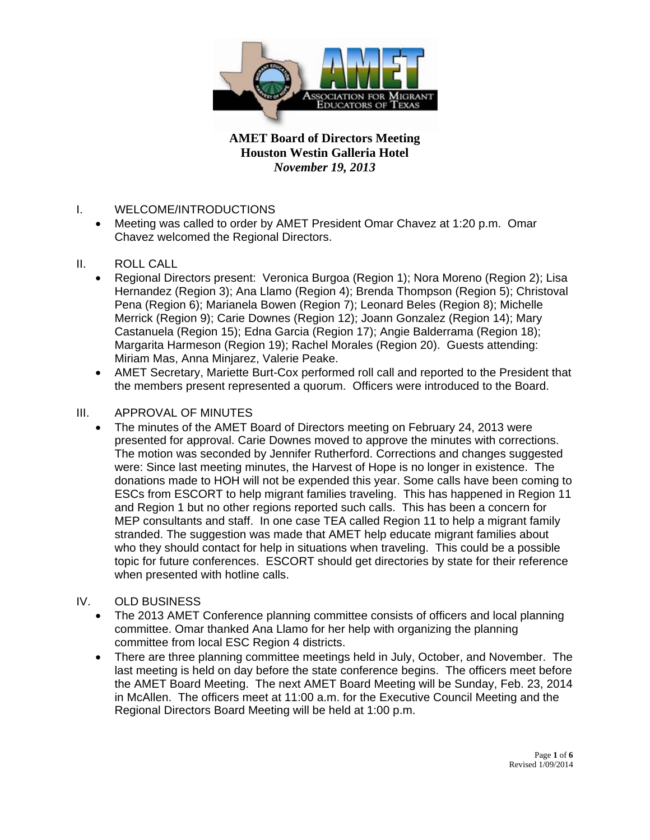

- I. WELCOME/INTRODUCTIONS
	- Meeting was called to order by AMET President Omar Chavez at 1:20 p.m. Omar Chavez welcomed the Regional Directors.
- II. ROLL CALL
	- Regional Directors present: Veronica Burgoa (Region 1); Nora Moreno (Region 2); Lisa Hernandez (Region 3); Ana Llamo (Region 4); Brenda Thompson (Region 5); Christoval Pena (Region 6); Marianela Bowen (Region 7); Leonard Beles (Region 8); Michelle Merrick (Region 9); Carie Downes (Region 12); Joann Gonzalez (Region 14); Mary Castanuela (Region 15); Edna Garcia (Region 17); Angie Balderrama (Region 18); Margarita Harmeson (Region 19); Rachel Morales (Region 20). Guests attending: Miriam Mas, Anna Minjarez, Valerie Peake.
	- AMET Secretary, Mariette Burt-Cox performed roll call and reported to the President that the members present represented a quorum. Officers were introduced to the Board.
- III. APPROVAL OF MINUTES
	- The minutes of the AMET Board of Directors meeting on February 24, 2013 were presented for approval. Carie Downes moved to approve the minutes with corrections. The motion was seconded by Jennifer Rutherford. Corrections and changes suggested were: Since last meeting minutes, the Harvest of Hope is no longer in existence. The donations made to HOH will not be expended this year. Some calls have been coming to ESCs from ESCORT to help migrant families traveling. This has happened in Region 11 and Region 1 but no other regions reported such calls. This has been a concern for MEP consultants and staff. In one case TEA called Region 11 to help a migrant family stranded. The suggestion was made that AMET help educate migrant families about who they should contact for help in situations when traveling. This could be a possible topic for future conferences. ESCORT should get directories by state for their reference when presented with hotline calls.
- IV. OLD BUSINESS
	- The 2013 AMET Conference planning committee consists of officers and local planning committee. Omar thanked Ana Llamo for her help with organizing the planning committee from local ESC Region 4 districts.
	- There are three planning committee meetings held in July, October, and November. The last meeting is held on day before the state conference begins. The officers meet before the AMET Board Meeting. The next AMET Board Meeting will be Sunday, Feb. 23, 2014 in McAllen. The officers meet at 11:00 a.m. for the Executive Council Meeting and the Regional Directors Board Meeting will be held at 1:00 p.m.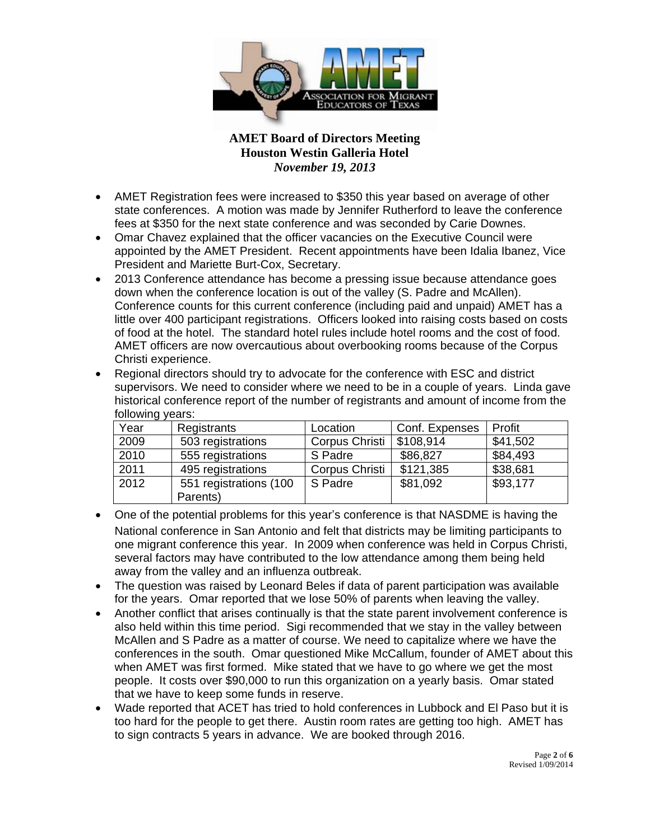

- AMET Registration fees were increased to \$350 this year based on average of other state conferences. A motion was made by Jennifer Rutherford to leave the conference fees at \$350 for the next state conference and was seconded by Carie Downes.
- Omar Chavez explained that the officer vacancies on the Executive Council were appointed by the AMET President. Recent appointments have been Idalia Ibanez, Vice President and Mariette Burt-Cox, Secretary.
- 2013 Conference attendance has become a pressing issue because attendance goes down when the conference location is out of the valley (S. Padre and McAllen). Conference counts for this current conference (including paid and unpaid) AMET has a little over 400 participant registrations. Officers looked into raising costs based on costs of food at the hotel. The standard hotel rules include hotel rooms and the cost of food. AMET officers are now overcautious about overbooking rooms because of the Corpus Christi experience.
- Regional directors should try to advocate for the conference with ESC and district supervisors. We need to consider where we need to be in a couple of years. Linda gave historical conference report of the number of registrants and amount of income from the following years:

| ັ<br>Year | Registrants            | Location       | Conf. Expenses | Profit   |
|-----------|------------------------|----------------|----------------|----------|
| 2009      | 503 registrations      | Corpus Christi | \$108,914      | \$41,502 |
| 2010      | 555 registrations      | S Padre        | \$86,827       | \$84,493 |
| 2011      | 495 registrations      | Corpus Christi | \$121,385      | \$38,681 |
| 2012      | 551 registrations (100 | S Padre        | \$81,092       | \$93,177 |
|           | Parents)               |                |                |          |

- One of the potential problems for this year's conference is that NASDME is having the National conference in San Antonio and felt that districts may be limiting participants to one migrant conference this year. In 2009 when conference was held in Corpus Christi, several factors may have contributed to the low attendance among them being held away from the valley and an influenza outbreak.
- The question was raised by Leonard Beles if data of parent participation was available for the years. Omar reported that we lose 50% of parents when leaving the valley.
- Another conflict that arises continually is that the state parent involvement conference is also held within this time period. Sigi recommended that we stay in the valley between McAllen and S Padre as a matter of course. We need to capitalize where we have the conferences in the south. Omar questioned Mike McCallum, founder of AMET about this when AMET was first formed. Mike stated that we have to go where we get the most people. It costs over \$90,000 to run this organization on a yearly basis. Omar stated that we have to keep some funds in reserve.
- Wade reported that ACET has tried to hold conferences in Lubbock and El Paso but it is too hard for the people to get there. Austin room rates are getting too high. AMET has to sign contracts 5 years in advance. We are booked through 2016.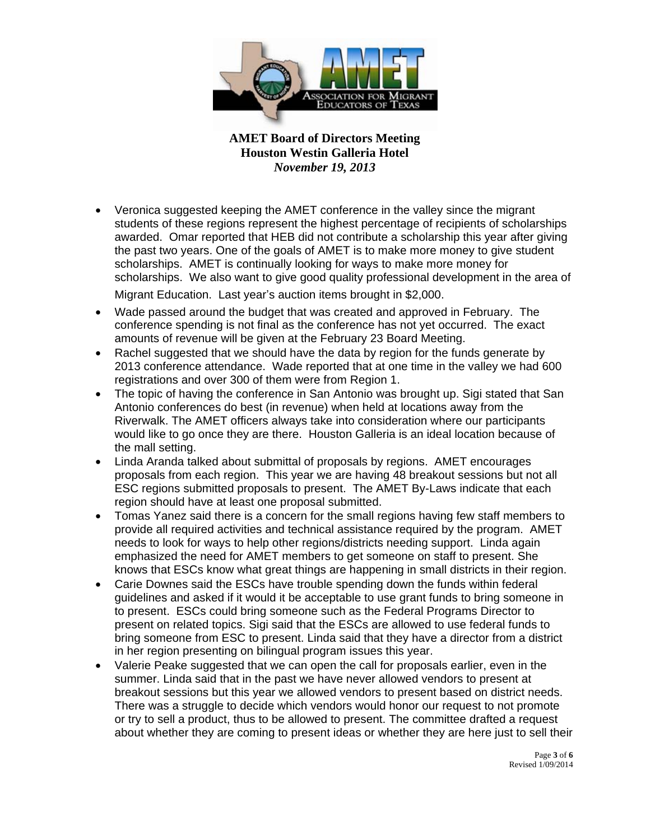

- Veronica suggested keeping the AMET conference in the valley since the migrant students of these regions represent the highest percentage of recipients of scholarships awarded. Omar reported that HEB did not contribute a scholarship this year after giving the past two years. One of the goals of AMET is to make more money to give student scholarships. AMET is continually looking for ways to make more money for scholarships. We also want to give good quality professional development in the area of Migrant Education. Last year's auction items brought in \$2,000.
- Wade passed around the budget that was created and approved in February. The conference spending is not final as the conference has not yet occurred. The exact amounts of revenue will be given at the February 23 Board Meeting.
- Rachel suggested that we should have the data by region for the funds generate by 2013 conference attendance. Wade reported that at one time in the valley we had 600 registrations and over 300 of them were from Region 1.
- The topic of having the conference in San Antonio was brought up. Sigi stated that San Antonio conferences do best (in revenue) when held at locations away from the Riverwalk. The AMET officers always take into consideration where our participants would like to go once they are there. Houston Galleria is an ideal location because of the mall setting.
- Linda Aranda talked about submittal of proposals by regions. AMET encourages proposals from each region. This year we are having 48 breakout sessions but not all ESC regions submitted proposals to present. The AMET By-Laws indicate that each region should have at least one proposal submitted.
- Tomas Yanez said there is a concern for the small regions having few staff members to provide all required activities and technical assistance required by the program. AMET needs to look for ways to help other regions/districts needing support. Linda again emphasized the need for AMET members to get someone on staff to present. She knows that ESCs know what great things are happening in small districts in their region.
- Carie Downes said the ESCs have trouble spending down the funds within federal guidelines and asked if it would it be acceptable to use grant funds to bring someone in to present. ESCs could bring someone such as the Federal Programs Director to present on related topics. Sigi said that the ESCs are allowed to use federal funds to bring someone from ESC to present. Linda said that they have a director from a district in her region presenting on bilingual program issues this year.
- Valerie Peake suggested that we can open the call for proposals earlier, even in the summer. Linda said that in the past we have never allowed vendors to present at breakout sessions but this year we allowed vendors to present based on district needs. There was a struggle to decide which vendors would honor our request to not promote or try to sell a product, thus to be allowed to present. The committee drafted a request about whether they are coming to present ideas or whether they are here just to sell their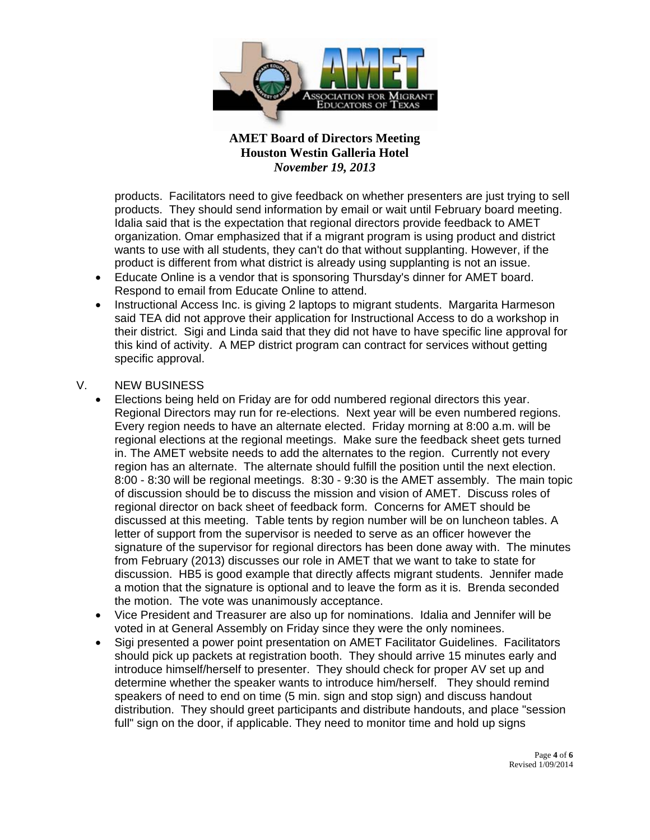

products. Facilitators need to give feedback on whether presenters are just trying to sell products. They should send information by email or wait until February board meeting. Idalia said that is the expectation that regional directors provide feedback to AMET organization. Omar emphasized that if a migrant program is using product and district wants to use with all students, they can't do that without supplanting. However, if the product is different from what district is already using supplanting is not an issue.

- Educate Online is a vendor that is sponsoring Thursday's dinner for AMET board. Respond to email from Educate Online to attend.
- Instructional Access Inc. is giving 2 laptops to migrant students. Margarita Harmeson said TEA did not approve their application for Instructional Access to do a workshop in their district. Sigi and Linda said that they did not have to have specific line approval for this kind of activity. A MEP district program can contract for services without getting specific approval.
- V. NEW BUSINESS
	- Elections being held on Friday are for odd numbered regional directors this year. Regional Directors may run for re-elections. Next year will be even numbered regions. Every region needs to have an alternate elected. Friday morning at 8:00 a.m. will be regional elections at the regional meetings. Make sure the feedback sheet gets turned in. The AMET website needs to add the alternates to the region. Currently not every region has an alternate. The alternate should fulfill the position until the next election. 8:00 - 8:30 will be regional meetings. 8:30 - 9:30 is the AMET assembly. The main topic of discussion should be to discuss the mission and vision of AMET. Discuss roles of regional director on back sheet of feedback form. Concerns for AMET should be discussed at this meeting. Table tents by region number will be on luncheon tables. A letter of support from the supervisor is needed to serve as an officer however the signature of the supervisor for regional directors has been done away with. The minutes from February (2013) discusses our role in AMET that we want to take to state for discussion. HB5 is good example that directly affects migrant students. Jennifer made a motion that the signature is optional and to leave the form as it is. Brenda seconded the motion. The vote was unanimously acceptance.
	- Vice President and Treasurer are also up for nominations. Idalia and Jennifer will be voted in at General Assembly on Friday since they were the only nominees.
	- Sigi presented a power point presentation on AMET Facilitator Guidelines. Facilitators should pick up packets at registration booth. They should arrive 15 minutes early and introduce himself/herself to presenter. They should check for proper AV set up and determine whether the speaker wants to introduce him/herself. They should remind speakers of need to end on time (5 min. sign and stop sign) and discuss handout distribution. They should greet participants and distribute handouts, and place "session full" sign on the door, if applicable. They need to monitor time and hold up signs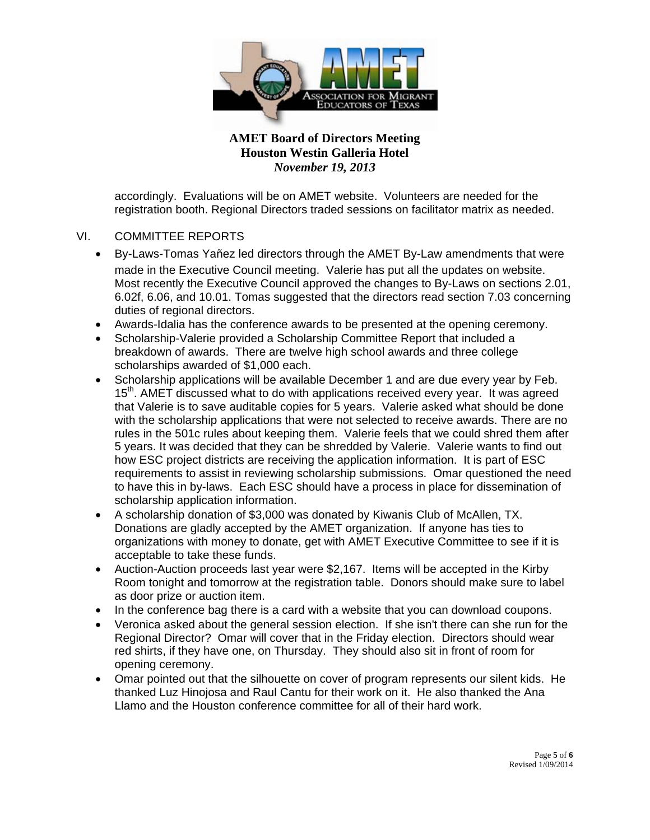

accordingly. Evaluations will be on AMET website. Volunteers are needed for the registration booth. Regional Directors traded sessions on facilitator matrix as needed.

#### VI. COMMITTEE REPORTS

- By-Laws-Tomas Yañez led directors through the AMET By-Law amendments that were made in the Executive Council meeting. Valerie has put all the updates on website. Most recently the Executive Council approved the changes to By-Laws on sections 2.01, 6.02f, 6.06, and 10.01. Tomas suggested that the directors read section 7.03 concerning duties of regional directors.
- Awards-Idalia has the conference awards to be presented at the opening ceremony.
- Scholarship-Valerie provided a Scholarship Committee Report that included a breakdown of awards. There are twelve high school awards and three college scholarships awarded of \$1,000 each.
- Scholarship applications will be available December 1 and are due every year by Feb. 15<sup>th</sup>. AMET discussed what to do with applications received every year. It was agreed that Valerie is to save auditable copies for 5 years. Valerie asked what should be done with the scholarship applications that were not selected to receive awards. There are no rules in the 501c rules about keeping them. Valerie feels that we could shred them after 5 years. It was decided that they can be shredded by Valerie. Valerie wants to find out how ESC project districts are receiving the application information. It is part of ESC requirements to assist in reviewing scholarship submissions. Omar questioned the need to have this in by-laws. Each ESC should have a process in place for dissemination of scholarship application information.
- A scholarship donation of \$3,000 was donated by Kiwanis Club of McAllen, TX. Donations are gladly accepted by the AMET organization. If anyone has ties to organizations with money to donate, get with AMET Executive Committee to see if it is acceptable to take these funds.
- Auction-Auction proceeds last year were \$2,167. Items will be accepted in the Kirby Room tonight and tomorrow at the registration table. Donors should make sure to label as door prize or auction item.
- In the conference bag there is a card with a website that you can download coupons.
- Veronica asked about the general session election. If she isn't there can she run for the Regional Director? Omar will cover that in the Friday election. Directors should wear red shirts, if they have one, on Thursday. They should also sit in front of room for opening ceremony.
- Omar pointed out that the silhouette on cover of program represents our silent kids. He thanked Luz Hinojosa and Raul Cantu for their work on it. He also thanked the Ana Llamo and the Houston conference committee for all of their hard work.